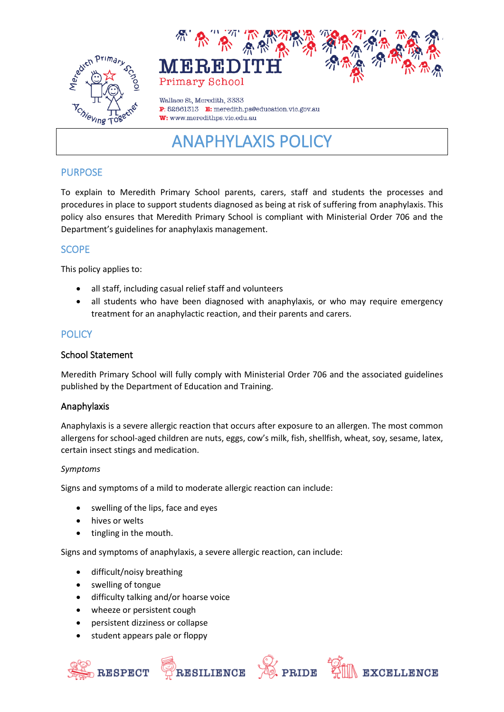



Wallace St. Meredith, 3333 P: 52861313 E: meredith.ps@education.vic.gov.au W: www.meredithps.vic.edu.au

# ANAPHYLAXIS POLICY

## PURPOSE

To explain to Meredith Primary School parents, carers, staff and students the processes and procedures in place to support students diagnosed as being at risk of suffering from anaphylaxis. This policy also ensures that Meredith Primary School is compliant with Ministerial Order 706 and the Department's guidelines for anaphylaxis management.

## **SCOPE**

This policy applies to:

- all staff, including casual relief staff and volunteers
- all students who have been diagnosed with anaphylaxis, or who may require emergency treatment for an anaphylactic reaction, and their parents and carers.

## **POLICY**

#### School Statement

Meredith Primary School will fully comply with Ministerial Order 706 and the associated guidelines published by the Department of Education and Training.

#### Anaphylaxis

Anaphylaxis is a severe allergic reaction that occurs after exposure to an allergen. The most common allergens for school-aged children are nuts, eggs, cow's milk, fish, shellfish, wheat, soy, sesame, latex, certain insect stings and medication.

#### *Symptoms*

Signs and symptoms of a mild to moderate allergic reaction can include:

- swelling of the lips, face and eyes
- hives or welts
- tingling in the mouth.

Signs and symptoms of anaphylaxis, a severe allergic reaction, can include:

- difficult/noisy breathing
- swelling of tongue
- difficulty talking and/or hoarse voice
- wheeze or persistent cough
- persistent dizziness or collapse
- student appears pale or floppy







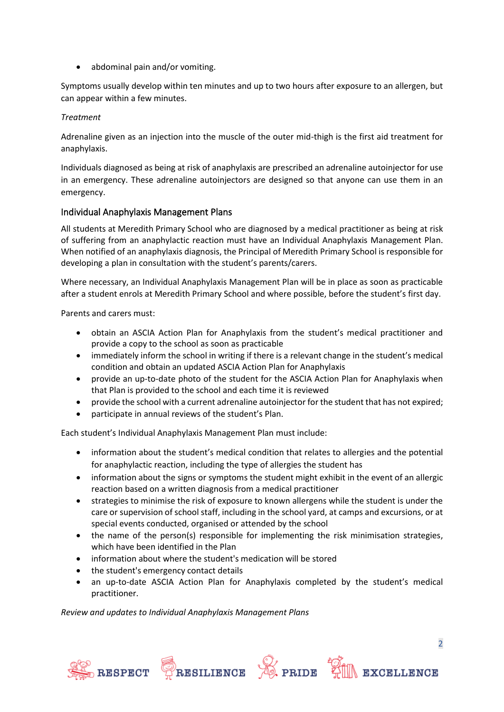• abdominal pain and/or vomiting.

Symptoms usually develop within ten minutes and up to two hours after exposure to an allergen, but can appear within a few minutes.

#### *Treatment*

Adrenaline given as an injection into the muscle of the outer mid-thigh is the first aid treatment for anaphylaxis.

Individuals diagnosed as being at risk of anaphylaxis are prescribed an adrenaline autoinjector for use in an emergency. These adrenaline autoinjectors are designed so that anyone can use them in an emergency.

#### Individual Anaphylaxis Management Plans

All students at Meredith Primary School who are diagnosed by a medical practitioner as being at risk of suffering from an anaphylactic reaction must have an Individual Anaphylaxis Management Plan. When notified of an anaphylaxis diagnosis, the Principal of Meredith Primary School is responsible for developing a plan in consultation with the student's parents/carers.

Where necessary, an Individual Anaphylaxis Management Plan will be in place as soon as practicable after a student enrols at Meredith Primary School and where possible, before the student's first day.

Parents and carers must:

- obtain an ASCIA Action Plan for Anaphylaxis from the student's medical practitioner and provide a copy to the school as soon as practicable
- immediately inform the school in writing if there is a relevant change in the student's medical condition and obtain an updated ASCIA Action Plan for Anaphylaxis
- provide an up-to-date photo of the student for the ASCIA Action Plan for Anaphylaxis when that Plan is provided to the school and each time it is reviewed
- provide the school with a current adrenaline autoinjector for the student that has not expired;
- participate in annual reviews of the student's Plan.

Each student's Individual Anaphylaxis Management Plan must include:

- information about the student's medical condition that relates to allergies and the potential for anaphylactic reaction, including the type of allergies the student has
- information about the signs or symptoms the student might exhibit in the event of an allergic reaction based on a written diagnosis from a medical practitioner
- strategies to minimise the risk of exposure to known allergens while the student is under the care or supervision of school staff, including in the school yard, at camps and excursions, or at special events conducted, organised or attended by the school
- the name of the person(s) responsible for implementing the risk minimisation strategies, which have been identified in the Plan
- information about where the student's medication will be stored
- the student's emergency contact details
- an up-to-date ASCIA Action Plan for Anaphylaxis completed by the student's medical practitioner.

*Review and updates to Individual Anaphylaxis Management Plans* 







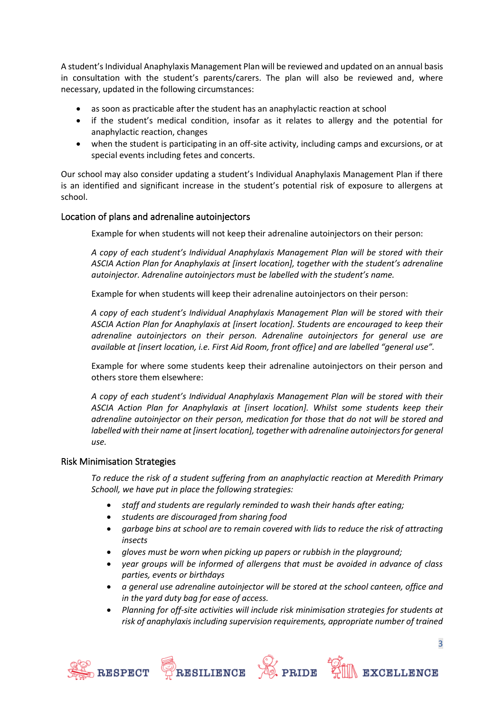A student's Individual Anaphylaxis Management Plan will be reviewed and updated on an annual basis in consultation with the student's parents/carers. The plan will also be reviewed and, where necessary, updated in the following circumstances:

- as soon as practicable after the student has an anaphylactic reaction at school
- if the student's medical condition, insofar as it relates to allergy and the potential for anaphylactic reaction, changes
- when the student is participating in an off-site activity, including camps and excursions, or at special events including fetes and concerts.

Our school may also consider updating a student's Individual Anaphylaxis Management Plan if there is an identified and significant increase in the student's potential risk of exposure to allergens at school.

#### Location of plans and adrenaline autoinjectors

Example for when students will not keep their adrenaline autoinjectors on their person:

*A copy of each student's Individual Anaphylaxis Management Plan will be stored with their ASCIA Action Plan for Anaphylaxis at [insert location], together with the student's adrenaline autoinjector. Adrenaline autoinjectors must be labelled with the student's name.*

Example for when students will keep their adrenaline autoinjectors on their person:

*A copy of each student's Individual Anaphylaxis Management Plan will be stored with their ASCIA Action Plan for Anaphylaxis at [insert location]. Students are encouraged to keep their adrenaline autoinjectors on their person. Adrenaline autoinjectors for general use are available at [insert location, i.e. First Aid Room, front office] and are labelled "general use".* 

Example for where some students keep their adrenaline autoinjectors on their person and others store them elsewhere:

*A copy of each student's Individual Anaphylaxis Management Plan will be stored with their ASCIA Action Plan for Anaphylaxis at [insert location]. Whilst some students keep their adrenaline autoinjector on their person, medication for those that do not will be stored and labelled with their name at [insert location], together with adrenaline autoinjectors for general use.*

#### Risk Minimisation Strategies

*To reduce the risk of a student suffering from an anaphylactic reaction at Meredith Primary Schooll, we have put in place the following strategies:*

- *staff and students are regularly reminded to wash their hands after eating;*
- *students are discouraged from sharing food*
- *garbage bins at school are to remain covered with lids to reduce the risk of attracting insects*
- *gloves must be worn when picking up papers or rubbish in the playground;*
- *year groups will be informed of allergens that must be avoided in advance of class parties, events or birthdays*
- *a general use adrenaline autoinjector will be stored at the school canteen, office and in the yard duty bag for ease of access.*
- *Planning for off-site activities will include risk minimisation strategies for students at risk of anaphylaxis including supervision requirements, appropriate number of trained*







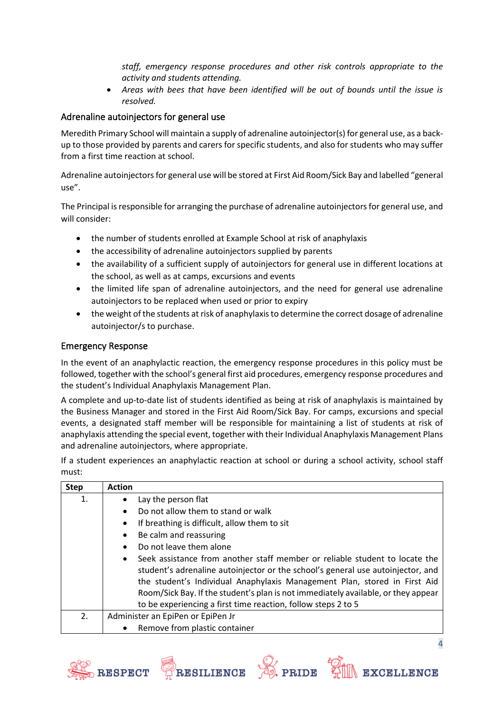*staff, emergency response procedures and other risk controls appropriate to the activity and students attending.* 

• *Areas with bees that have been identified will be out of bounds until the issue is resolved.*

## Adrenaline autoinjectors for general use

Meredith Primary School will maintain a supply of adrenaline autoinjector(s) for general use, as a backup to those provided by parents and carers for specific students, and also for students who may suffer from a first time reaction at school.

Adrenaline autoinjectors for general use will be stored at First Aid Room/Sick Bay and labelled "general use".

The Principal is responsible for arranging the purchase of adrenaline autoinjectors for general use, and will consider:

- the number of students enrolled at Example School at risk of anaphylaxis
- the accessibility of adrenaline autoinjectors supplied by parents
- the availability of a sufficient supply of autoinjectors for general use in different locations at the school, as well as at camps, excursions and events
- the limited life span of adrenaline autoinjectors, and the need for general use adrenaline autoinjectors to be replaced when used or prior to expiry
- the weight of the students at risk of anaphylaxis to determine the correct dosage of adrenaline autoinjector/s to purchase.

## Emergency Response

In the event of an anaphylactic reaction, the emergency response procedures in this policy must be followed, together with the school's general first aid procedures, emergency response procedures and the student's Individual Anaphylaxis Management Plan.

A complete and up-to-date list of students identified as being at risk of anaphylaxis is maintained by the Business Manager and stored in the First Aid Room/Sick Bay. For camps, excursions and special events, a designated staff member will be responsible for maintaining a list of students at risk of anaphylaxis attending the special event, together with their Individual Anaphylaxis Management Plans and adrenaline autoinjectors, where appropriate.

If a student experiences an anaphylactic reaction at school or during a school activity, school staff must:

| <b>Step</b> | <b>Action</b>                                                                                                                                                                                                                                                                                                                                                                                                  |
|-------------|----------------------------------------------------------------------------------------------------------------------------------------------------------------------------------------------------------------------------------------------------------------------------------------------------------------------------------------------------------------------------------------------------------------|
| 1.          | Lay the person flat                                                                                                                                                                                                                                                                                                                                                                                            |
|             | Do not allow them to stand or walk<br>$\bullet$                                                                                                                                                                                                                                                                                                                                                                |
|             | If breathing is difficult, allow them to sit<br>$\bullet$                                                                                                                                                                                                                                                                                                                                                      |
|             | Be calm and reassuring<br>$\bullet$                                                                                                                                                                                                                                                                                                                                                                            |
|             | Do not leave them alone<br>$\bullet$                                                                                                                                                                                                                                                                                                                                                                           |
|             | Seek assistance from another staff member or reliable student to locate the<br>$\bullet$<br>student's adrenaline autoinjector or the school's general use autoinjector, and<br>the student's Individual Anaphylaxis Management Plan, stored in First Aid<br>Room/Sick Bay. If the student's plan is not immediately available, or they appear<br>to be experiencing a first time reaction, follow steps 2 to 5 |
| 2.          | Administer an EpiPen or EpiPen Jr                                                                                                                                                                                                                                                                                                                                                                              |
|             | Remove from plastic container                                                                                                                                                                                                                                                                                                                                                                                  |







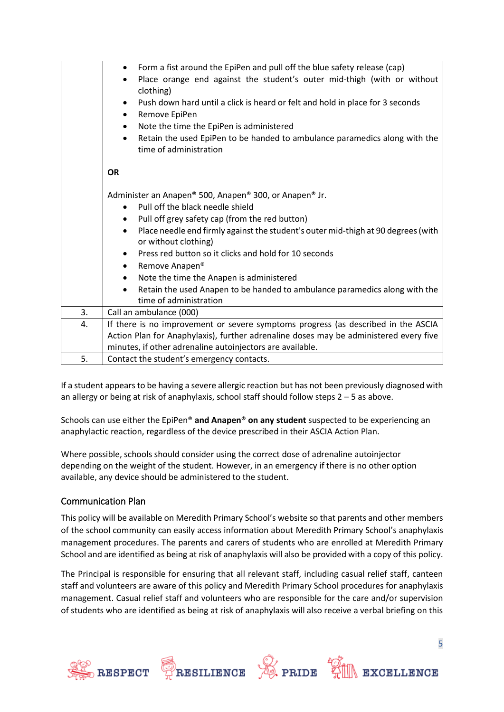|    | Form a fist around the EpiPen and pull off the blue safety release (cap)<br>٠                  |  |  |
|----|------------------------------------------------------------------------------------------------|--|--|
|    | Place orange end against the student's outer mid-thigh (with or without<br>$\bullet$           |  |  |
|    | clothing)                                                                                      |  |  |
|    | Push down hard until a click is heard or felt and hold in place for 3 seconds<br>$\bullet$     |  |  |
|    | Remove EpiPen<br>٠                                                                             |  |  |
|    | Note the time the EpiPen is administered<br>٠                                                  |  |  |
|    | Retain the used EpiPen to be handed to ambulance paramedics along with the<br>$\bullet$        |  |  |
|    | time of administration                                                                         |  |  |
|    |                                                                                                |  |  |
|    | <b>OR</b>                                                                                      |  |  |
|    |                                                                                                |  |  |
|    | Administer an Anapen® 500, Anapen® 300, or Anapen® Jr.                                         |  |  |
|    | Pull off the black needle shield<br>$\bullet$                                                  |  |  |
|    | Pull off grey safety cap (from the red button)<br>٠                                            |  |  |
|    | Place needle end firmly against the student's outer mid-thigh at 90 degrees (with<br>$\bullet$ |  |  |
|    | or without clothing)                                                                           |  |  |
|    | Press red button so it clicks and hold for 10 seconds<br>$\bullet$                             |  |  |
|    | Remove Anapen®<br>$\bullet$                                                                    |  |  |
|    | Note the time the Anapen is administered<br>$\bullet$                                          |  |  |
|    | Retain the used Anapen to be handed to ambulance paramedics along with the<br>$\bullet$        |  |  |
|    | time of administration                                                                         |  |  |
| 3. | Call an ambulance (000)                                                                        |  |  |
| 4. | If there is no improvement or severe symptoms progress (as described in the ASCIA              |  |  |
|    | Action Plan for Anaphylaxis), further adrenaline doses may be administered every five          |  |  |
|    | minutes, if other adrenaline autoinjectors are available.                                      |  |  |
| 5. | Contact the student's emergency contacts.                                                      |  |  |

If a student appears to be having a severe allergic reaction but has not been previously diagnosed with an allergy or being at risk of anaphylaxis, school staff should follow steps 2 – 5 as above.

Schools can use either the EpiPen® **and Anapen® on any student** suspected to be experiencing an anaphylactic reaction, regardless of the device prescribed in their ASCIA Action Plan.

Where possible, schools should consider using the correct dose of adrenaline autoinjector depending on the weight of the student. However, in an emergency if there is no other option available, any device should be administered to the student.

#### Communication Plan

This policy will be available on Meredith Primary School's website so that parents and other members of the school community can easily access information about Meredith Primary School's anaphylaxis management procedures. The parents and carers of students who are enrolled at Meredith Primary School and are identified as being at risk of anaphylaxis will also be provided with a copy of this policy.

The Principal is responsible for ensuring that all relevant staff, including casual relief staff, canteen staff and volunteers are aware of this policy and Meredith Primary School procedures for anaphylaxis management. Casual relief staff and volunteers who are responsible for the care and/or supervision of students who are identified as being at risk of anaphylaxis will also receive a verbal briefing on this

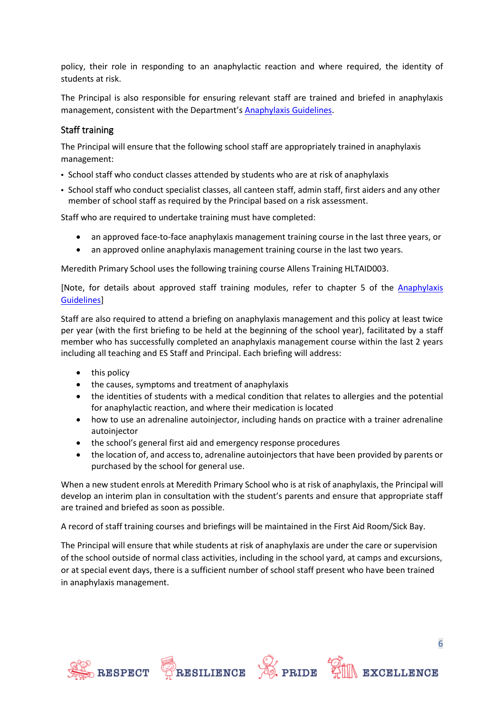policy, their role in responding to an anaphylactic reaction and where required, the identity of students at risk.

The Principal is also responsible for ensuring relevant staff are trained and briefed in anaphylaxis management, consistent with the Department's [Anaphylaxis Guidelines.](https://www2.education.vic.gov.au/pal/anaphylaxis/guidance)

### Staff training

The Principal will ensure that the following school staff are appropriately trained in anaphylaxis management:

- School staff who conduct classes attended by students who are at risk of anaphylaxis
- School staff who conduct specialist classes, all canteen staff, admin staff, first aiders and any other member of school staff as required by the Principal based on a risk assessment.

Staff who are required to undertake training must have completed:

- an approved face-to-face anaphylaxis management training course in the last three years, or
- an approved online anaphylaxis management training course in the last two years.

Meredith Primary School uses the following training course Allens Training HLTAID003.

[Note, for details about approved staff training modules, refer to chapter 5 of the **Anaphylaxis** [Guidelines\]](https://www2.education.vic.gov.au/pal/anaphylaxis/guidance/5-staff-training)

Staff are also required to attend a briefing on anaphylaxis management and this policy at least twice per year (with the first briefing to be held at the beginning of the school year), facilitated by a staff member who has successfully completed an anaphylaxis management course within the last 2 years including all teaching and ES Staff and Principal. Each briefing will address:

- this policy
- the causes, symptoms and treatment of anaphylaxis
- the identities of students with a medical condition that relates to allergies and the potential for anaphylactic reaction, and where their medication is located
- how to use an adrenaline autoinjector, including hands on practice with a trainer adrenaline autoiniector
- the school's general first aid and emergency response procedures
- the location of, and access to, adrenaline autoinjectors that have been provided by parents or purchased by the school for general use.

When a new student enrols at Meredith Primary School who is at risk of anaphylaxis, the Principal will develop an interim plan in consultation with the student's parents and ensure that appropriate staff are trained and briefed as soon as possible.

A record of staff training courses and briefings will be maintained in the First Aid Room/Sick Bay.

The Principal will ensure that while students at risk of anaphylaxis are under the care or supervision of the school outside of normal class activities, including in the school yard, at camps and excursions, or at special event days, there is a sufficient number of school staff present who have been trained in anaphylaxis management.